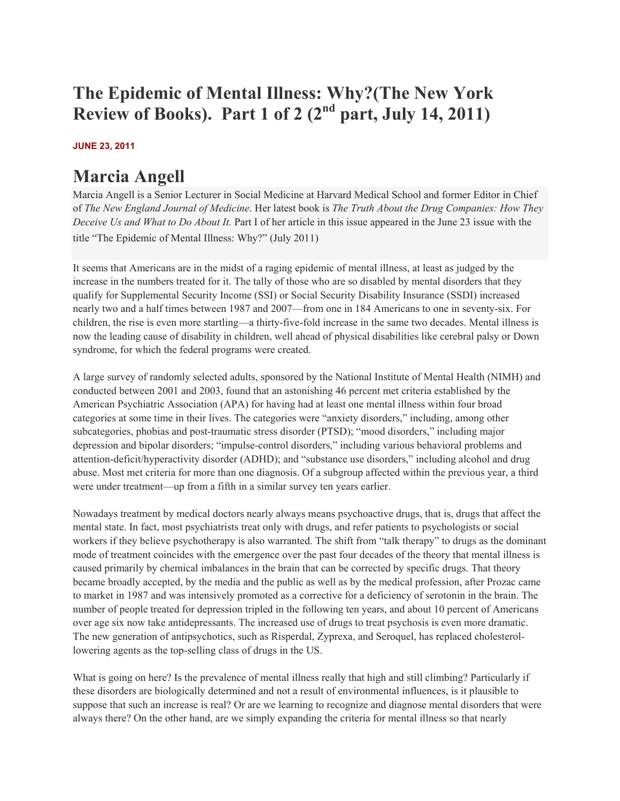## **The Epidemic of Mental Illness: Why?(The New York Review of Books). Part 1 of 2 (2nd part, July 14, 2011)**

## **JUNE 23, 2011**

## **Marcia Angell**

Marcia Angell is a Senior Lecturer in Social Medicine at Harvard Medical School and former Editor in Chief of *The New England Journal of Medicine*. Her latest book is *The Truth About the Drug Companies: How They Deceive Us and What to Do About It.* Part I of her article in this issue appeared in the June 23 issue with the title "The Epidemic of Mental Illness: Why?" (July 2011)

It seems that Americans are in the midst of a raging epidemic of mental illness, at least as judged by the increase in the numbers treated for it. The tally of those who are so disabled by mental disorders that they qualify for Supplemental Security Income (SSI) or Social Security Disability Insurance (SSDI) increased nearly two and a half times between 1987 and 2007—from one in 184 Americans to one in seventy-six. For children, the rise is even more startling—a thirty-five-fold increase in the same two decades. Mental illness is now the leading cause of disability in children, well ahead of physical disabilities like cerebral palsy or Down syndrome, for which the federal programs were created.

A large survey of randomly selected adults, sponsored by the National Institute of Mental Health (NIMH) and conducted between 2001 and 2003, found that an astonishing 46 percent met criteria established by the American Psychiatric Association (APA) for having had at least one mental illness within four broad categories at some time in their lives. The categories were "anxiety disorders," including, among other subcategories, phobias and post-traumatic stress disorder (PTSD); "mood disorders," including major depression and bipolar disorders; "impulse-control disorders," including various behavioral problems and attention-deficit/hyperactivity disorder (ADHD); and "substance use disorders," including alcohol and drug abuse. Most met criteria for more than one diagnosis. Of a subgroup affected within the previous year, a third were under treatment—up from a fifth in a similar survey ten years earlier.

Nowadays treatment by medical doctors nearly always means psychoactive drugs, that is, drugs that affect the mental state. In fact, most psychiatrists treat only with drugs, and refer patients to psychologists or social workers if they believe psychotherapy is also warranted. The shift from "talk therapy" to drugs as the dominant mode of treatment coincides with the emergence over the past four decades of the theory that mental illness is caused primarily by chemical imbalances in the brain that can be corrected by specific drugs. That theory became broadly accepted, by the media and the public as well as by the medical profession, after Prozac came to market in 1987 and was intensively promoted as a corrective for a deficiency of serotonin in the brain. The number of people treated for depression tripled in the following ten years, and about 10 percent of Americans over age six now take antidepressants. The increased use of drugs to treat psychosis is even more dramatic. The new generation of antipsychotics, such as Risperdal, Zyprexa, and Seroquel, has replaced cholesterollowering agents as the top-selling class of drugs in the US.

What is going on here? Is the prevalence of mental illness really that high and still climbing? Particularly if these disorders are biologically determined and not a result of environmental influences, is it plausible to suppose that such an increase is real? Or are we learning to recognize and diagnose mental disorders that were always there? On the other hand, are we simply expanding the criteria for mental illness so that nearly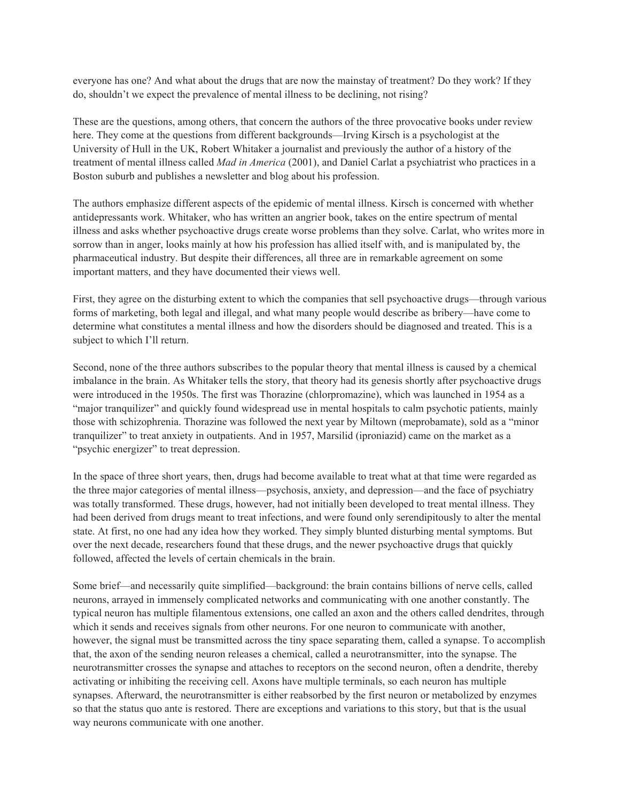everyone has one? And what about the drugs that are now the mainstay of treatment? Do they work? If they do, shouldn't we expect the prevalence of mental illness to be declining, not rising?

These are the questions, among others, that concern the authors of the three provocative books under review here. They come at the questions from different backgrounds—Irving Kirsch is a psychologist at the University of Hull in the UK, Robert Whitaker a journalist and previously the author of a history of the treatment of mental illness called *Mad in America* (2001), and Daniel Carlat a psychiatrist who practices in a Boston suburb and publishes a newsletter and blog about his profession.

The authors emphasize different aspects of the epidemic of mental illness. Kirsch is concerned with whether antidepressants work. Whitaker, who has written an angrier book, takes on the entire spectrum of mental illness and asks whether psychoactive drugs create worse problems than they solve. Carlat, who writes more in sorrow than in anger, looks mainly at how his profession has allied itself with, and is manipulated by, the pharmaceutical industry. But despite their differences, all three are in remarkable agreement on some important matters, and they have documented their views well.

First, they agree on the disturbing extent to which the companies that sell psychoactive drugs—through various forms of marketing, both legal and illegal, and what many people would describe as bribery—have come to determine what constitutes a mental illness and how the disorders should be diagnosed and treated. This is a subject to which I'll return.

Second, none of the three authors subscribes to the popular theory that mental illness is caused by a chemical imbalance in the brain. As Whitaker tells the story, that theory had its genesis shortly after psychoactive drugs were introduced in the 1950s. The first was Thorazine (chlorpromazine), which was launched in 1954 as a "major tranquilizer" and quickly found widespread use in mental hospitals to calm psychotic patients, mainly those with schizophrenia. Thorazine was followed the next year by Miltown (meprobamate), sold as a "minor tranquilizer" to treat anxiety in outpatients. And in 1957, Marsilid (iproniazid) came on the market as a "psychic energizer" to treat depression.

In the space of three short years, then, drugs had become available to treat what at that time were regarded as the three major categories of mental illness—psychosis, anxiety, and depression—and the face of psychiatry was totally transformed. These drugs, however, had not initially been developed to treat mental illness. They had been derived from drugs meant to treat infections, and were found only serendipitously to alter the mental state. At first, no one had any idea how they worked. They simply blunted disturbing mental symptoms. But over the next decade, researchers found that these drugs, and the newer psychoactive drugs that quickly followed, affected the levels of certain chemicals in the brain.

Some brief—and necessarily quite simplified—background: the brain contains billions of nerve cells, called neurons, arrayed in immensely complicated networks and communicating with one another constantly. The typical neuron has multiple filamentous extensions, one called an axon and the others called dendrites, through which it sends and receives signals from other neurons. For one neuron to communicate with another, however, the signal must be transmitted across the tiny space separating them, called a synapse. To accomplish that, the axon of the sending neuron releases a chemical, called a neurotransmitter, into the synapse. The neurotransmitter crosses the synapse and attaches to receptors on the second neuron, often a dendrite, thereby activating or inhibiting the receiving cell. Axons have multiple terminals, so each neuron has multiple synapses. Afterward, the neurotransmitter is either reabsorbed by the first neuron or metabolized by enzymes so that the status quo ante is restored. There are exceptions and variations to this story, but that is the usual way neurons communicate with one another.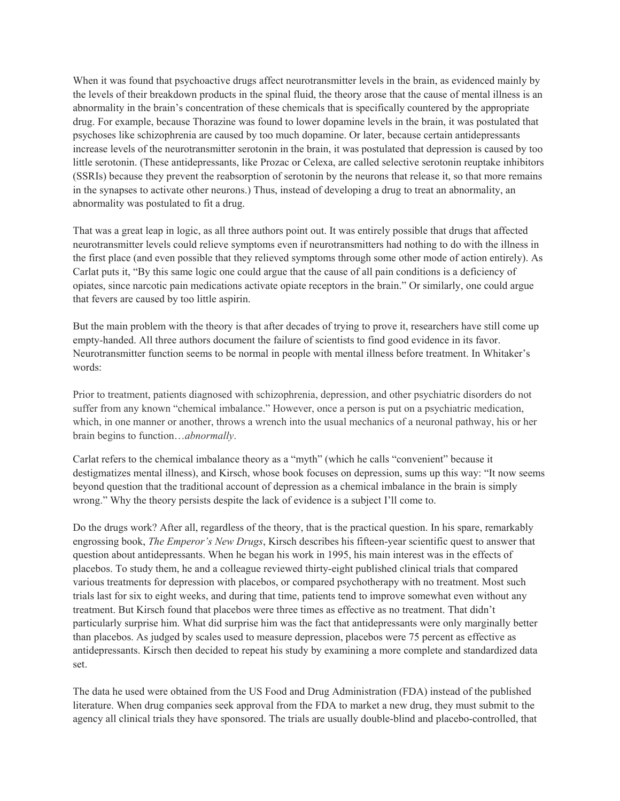When it was found that psychoactive drugs affect neurotransmitter levels in the brain, as evidenced mainly by the levels of their breakdown products in the spinal fluid, the theory arose that the cause of mental illness is an abnormality in the brain's concentration of these chemicals that is specifically countered by the appropriate drug. For example, because Thorazine was found to lower dopamine levels in the brain, it was postulated that psychoses like schizophrenia are caused by too much dopamine. Or later, because certain antidepressants increase levels of the neurotransmitter serotonin in the brain, it was postulated that depression is caused by too little serotonin. (These antidepressants, like Prozac or Celexa, are called selective serotonin reuptake inhibitors (SSRIs) because they prevent the reabsorption of serotonin by the neurons that release it, so that more remains in the synapses to activate other neurons.) Thus, instead of developing a drug to treat an abnormality, an abnormality was postulated to fit a drug.

That was a great leap in logic, as all three authors point out. It was entirely possible that drugs that affected neurotransmitter levels could relieve symptoms even if neurotransmitters had nothing to do with the illness in the first place (and even possible that they relieved symptoms through some other mode of action entirely). As Carlat puts it, "By this same logic one could argue that the cause of all pain conditions is a deficiency of opiates, since narcotic pain medications activate opiate receptors in the brain." Or similarly, one could argue that fevers are caused by too little aspirin.

But the main problem with the theory is that after decades of trying to prove it, researchers have still come up empty-handed. All three authors document the failure of scientists to find good evidence in its favor. Neurotransmitter function seems to be normal in people with mental illness before treatment. In Whitaker's words:

Prior to treatment, patients diagnosed with schizophrenia, depression, and other psychiatric disorders do not suffer from any known "chemical imbalance." However, once a person is put on a psychiatric medication, which, in one manner or another, throws a wrench into the usual mechanics of a neuronal pathway, his or her brain begins to function…*abnormally*.

Carlat refers to the chemical imbalance theory as a "myth" (which he calls "convenient" because it destigmatizes mental illness), and Kirsch, whose book focuses on depression, sums up this way: "It now seems beyond question that the traditional account of depression as a chemical imbalance in the brain is simply wrong." Why the theory persists despite the lack of evidence is a subject I'll come to.

Do the drugs work? After all, regardless of the theory, that is the practical question. In his spare, remarkably engrossing book, *The Emperor's New Drugs*, Kirsch describes his fifteen-year scientific quest to answer that question about antidepressants. When he began his work in 1995, his main interest was in the effects of placebos. To study them, he and a colleague reviewed thirty-eight published clinical trials that compared various treatments for depression with placebos, or compared psychotherapy with no treatment. Most such trials last for six to eight weeks, and during that time, patients tend to improve somewhat even without any treatment. But Kirsch found that placebos were three times as effective as no treatment. That didn't particularly surprise him. What did surprise him was the fact that antidepressants were only marginally better than placebos. As judged by scales used to measure depression, placebos were 75 percent as effective as antidepressants. Kirsch then decided to repeat his study by examining a more complete and standardized data set.

The data he used were obtained from the US Food and Drug Administration (FDA) instead of the published literature. When drug companies seek approval from the FDA to market a new drug, they must submit to the agency all clinical trials they have sponsored. The trials are usually double-blind and placebo-controlled, that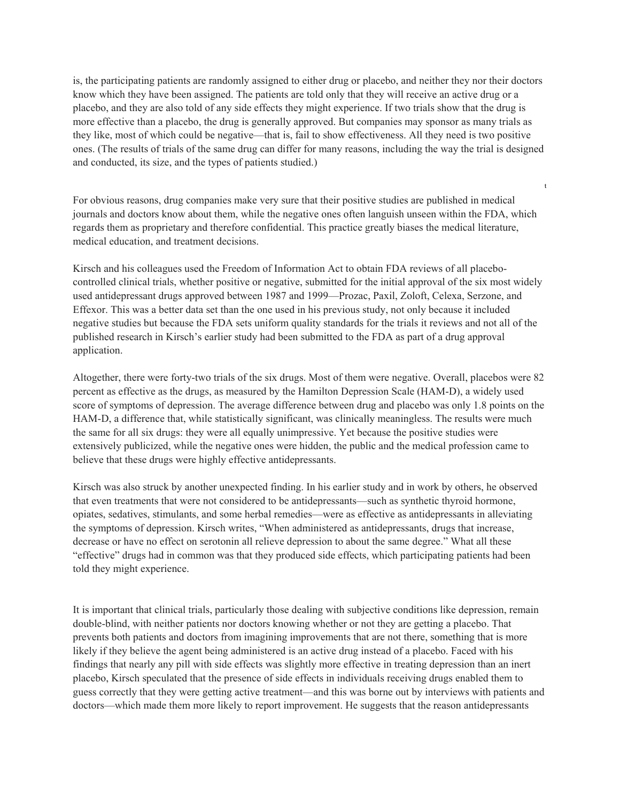is, the participating patients are randomly assigned to either drug or placebo, and neither they nor their doctors know which they have been assigned. The patients are told only that they will receive an active drug or a placebo, and they are also told of any side effects they might experience. If two trials show that the drug is more effective than a placebo, the drug is generally approved. But companies may sponsor as many trials as they like, most of which could be negative—that is, fail to show effectiveness. All they need is two positive ones. (The results of trials of the same drug can differ for many reasons, including the way the trial is designed and conducted, its size, and the types of patients studied.)

For obvious reasons, drug companies make very sure that their positive studies are published in medical journals and doctors know about them, while the negative ones often languish unseen within the FDA, which regards them as proprietary and therefore confidential. This practice greatly biases the medical literature, medical education, and treatment decisions.

t

Kirsch and his colleagues used the Freedom of Information Act to obtain FDA reviews of all placebocontrolled clinical trials, whether positive or negative, submitted for the initial approval of the six most widely used antidepressant drugs approved between 1987 and 1999—Prozac, Paxil, Zoloft, Celexa, Serzone, and Effexor. This was a better data set than the one used in his previous study, not only because it included negative studies but because the FDA sets uniform quality standards for the trials it reviews and not all of the published research in Kirsch's earlier study had been submitted to the FDA as part of a drug approval application.

Altogether, there were forty-two trials of the six drugs. Most of them were negative. Overall, placebos were 82 percent as effective as the drugs, as measured by the Hamilton Depression Scale (HAM-D), a widely used score of symptoms of depression. The average difference between drug and placebo was only 1.8 points on the HAM-D, a difference that, while statistically significant, was clinically meaningless. The results were much the same for all six drugs: they were all equally unimpressive. Yet because the positive studies were extensively publicized, while the negative ones were hidden, the public and the medical profession came to believe that these drugs were highly effective antidepressants.

Kirsch was also struck by another unexpected finding. In his earlier study and in work by others, he observed that even treatments that were not considered to be antidepressants—such as synthetic thyroid hormone, opiates, sedatives, stimulants, and some herbal remedies—were as effective as antidepressants in alleviating the symptoms of depression. Kirsch writes, "When administered as antidepressants, drugs that increase, decrease or have no effect on serotonin all relieve depression to about the same degree." What all these "effective" drugs had in common was that they produced side effects, which participating patients had been told they might experience.

It is important that clinical trials, particularly those dealing with subjective conditions like depression, remain double-blind, with neither patients nor doctors knowing whether or not they are getting a placebo. That prevents both patients and doctors from imagining improvements that are not there, something that is more likely if they believe the agent being administered is an active drug instead of a placebo. Faced with his findings that nearly any pill with side effects was slightly more effective in treating depression than an inert placebo, Kirsch speculated that the presence of side effects in individuals receiving drugs enabled them to guess correctly that they were getting active treatment—and this was borne out by interviews with patients and doctors—which made them more likely to report improvement. He suggests that the reason antidepressants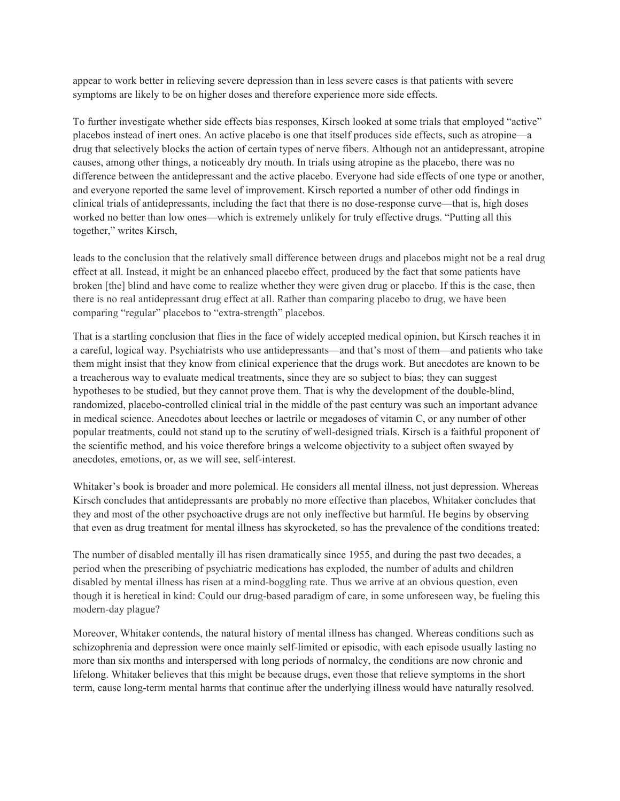appear to work better in relieving severe depression than in less severe cases is that patients with severe symptoms are likely to be on higher doses and therefore experience more side effects.

To further investigate whether side effects bias responses, Kirsch looked at some trials that employed "active" placebos instead of inert ones. An active placebo is one that itself produces side effects, such as atropine—a drug that selectively blocks the action of certain types of nerve fibers. Although not an antidepressant, atropine causes, among other things, a noticeably dry mouth. In trials using atropine as the placebo, there was no difference between the antidepressant and the active placebo. Everyone had side effects of one type or another, and everyone reported the same level of improvement. Kirsch reported a number of other odd findings in clinical trials of antidepressants, including the fact that there is no dose-response curve—that is, high doses worked no better than low ones—which is extremely unlikely for truly effective drugs. "Putting all this together," writes Kirsch,

leads to the conclusion that the relatively small difference between drugs and placebos might not be a real drug effect at all. Instead, it might be an enhanced placebo effect, produced by the fact that some patients have broken [the] blind and have come to realize whether they were given drug or placebo. If this is the case, then there is no real antidepressant drug effect at all. Rather than comparing placebo to drug, we have been comparing "regular" placebos to "extra-strength" placebos.

That is a startling conclusion that flies in the face of widely accepted medical opinion, but Kirsch reaches it in a careful, logical way. Psychiatrists who use antidepressants—and that's most of them—and patients who take them might insist that they know from clinical experience that the drugs work. But anecdotes are known to be a treacherous way to evaluate medical treatments, since they are so subject to bias; they can suggest hypotheses to be studied, but they cannot prove them. That is why the development of the double-blind, randomized, placebo-controlled clinical trial in the middle of the past century was such an important advance in medical science. Anecdotes about leeches or laetrile or megadoses of vitamin C, or any number of other popular treatments, could not stand up to the scrutiny of well-designed trials. Kirsch is a faithful proponent of the scientific method, and his voice therefore brings a welcome objectivity to a subject often swayed by anecdotes, emotions, or, as we will see, self-interest.

Whitaker's book is broader and more polemical. He considers all mental illness, not just depression. Whereas Kirsch concludes that antidepressants are probably no more effective than placebos, Whitaker concludes that they and most of the other psychoactive drugs are not only ineffective but harmful. He begins by observing that even as drug treatment for mental illness has skyrocketed, so has the prevalence of the conditions treated:

The number of disabled mentally ill has risen dramatically since 1955, and during the past two decades, a period when the prescribing of psychiatric medications has exploded, the number of adults and children disabled by mental illness has risen at a mind-boggling rate. Thus we arrive at an obvious question, even though it is heretical in kind: Could our drug-based paradigm of care, in some unforeseen way, be fueling this modern-day plague?

Moreover, Whitaker contends, the natural history of mental illness has changed. Whereas conditions such as schizophrenia and depression were once mainly self-limited or episodic, with each episode usually lasting no more than six months and interspersed with long periods of normalcy, the conditions are now chronic and lifelong. Whitaker believes that this might be because drugs, even those that relieve symptoms in the short term, cause long-term mental harms that continue after the underlying illness would have naturally resolved.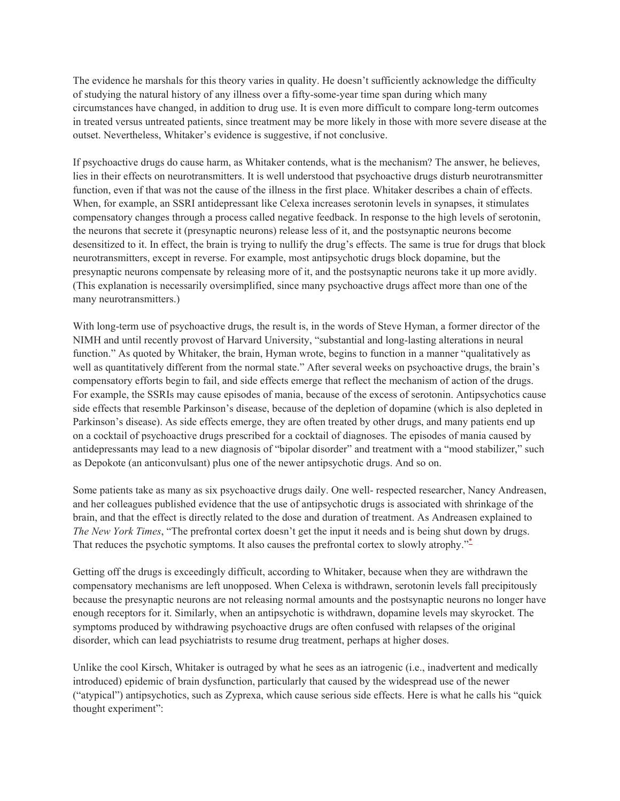The evidence he marshals for this theory varies in quality. He doesn't sufficiently acknowledge the difficulty of studying the natural history of any illness over a fifty-some-year time span during which many circumstances have changed, in addition to drug use. It is even more difficult to compare long-term outcomes in treated versus untreated patients, since treatment may be more likely in those with more severe disease at the outset. Nevertheless, Whitaker's evidence is suggestive, if not conclusive.

If psychoactive drugs do cause harm, as Whitaker contends, what is the mechanism? The answer, he believes, lies in their effects on neurotransmitters. It is well understood that psychoactive drugs disturb neurotransmitter function, even if that was not the cause of the illness in the first place. Whitaker describes a chain of effects. When, for example, an SSRI antidepressant like Celexa increases serotonin levels in synapses, it stimulates compensatory changes through a process called negative feedback. In response to the high levels of serotonin, the neurons that secrete it (presynaptic neurons) release less of it, and the postsynaptic neurons become desensitized to it. In effect, the brain is trying to nullify the drug's effects. The same is true for drugs that block neurotransmitters, except in reverse. For example, most antipsychotic drugs block dopamine, but the presynaptic neurons compensate by releasing more of it, and the postsynaptic neurons take it up more avidly. (This explanation is necessarily oversimplified, since many psychoactive drugs affect more than one of the many neurotransmitters.)

With long-term use of psychoactive drugs, the result is, in the words of Steve Hyman, a former director of the NIMH and until recently provost of Harvard University, "substantial and long-lasting alterations in neural function." As quoted by Whitaker, the brain, Hyman wrote, begins to function in a manner "qualitatively as well as quantitatively different from the normal state." After several weeks on psychoactive drugs, the brain's compensatory efforts begin to fail, and side effects emerge that reflect the mechanism of action of the drugs. For example, the SSRIs may cause episodes of mania, because of the excess of serotonin. Antipsychotics cause side effects that resemble Parkinson's disease, because of the depletion of dopamine (which is also depleted in Parkinson's disease). As side effects emerge, they are often treated by other drugs, and many patients end up on a cocktail of psychoactive drugs prescribed for a cocktail of diagnoses. The episodes of mania caused by antidepressants may lead to a new diagnosis of "bipolar disorder" and treatment with a "mood stabilizer," such as Depokote (an anticonvulsant) plus one of the newer antipsychotic drugs. And so on.

Some patients take as many as six psychoactive drugs daily. One well- respected researcher, Nancy Andreasen, and her colleagues published evidence that the use of antipsychotic drugs is associated with shrinkage of the brain, and that the effect is directly related to the dose and duration of treatment. As Andreasen explained to *The New York Times*, "The prefrontal cortex doesn't get the input it needs and is being shut down by drugs. That reduces the psychotic symptoms. It also causes the prefrontal cortex to slowly atrophy."<sup>\*</sup>

Getting off the drugs is exceedingly difficult, according to Whitaker, because when they are withdrawn the compensatory mechanisms are left unopposed. When Celexa is withdrawn, serotonin levels fall precipitously because the presynaptic neurons are not releasing normal amounts and the postsynaptic neurons no longer have enough receptors for it. Similarly, when an antipsychotic is withdrawn, dopamine levels may skyrocket. The symptoms produced by withdrawing psychoactive drugs are often confused with relapses of the original disorder, which can lead psychiatrists to resume drug treatment, perhaps at higher doses.

Unlike the cool Kirsch, Whitaker is outraged by what he sees as an iatrogenic (i.e., inadvertent and medically introduced) epidemic of brain dysfunction, particularly that caused by the widespread use of the newer ("atypical") antipsychotics, such as Zyprexa, which cause serious side effects. Here is what he calls his "quick thought experiment":